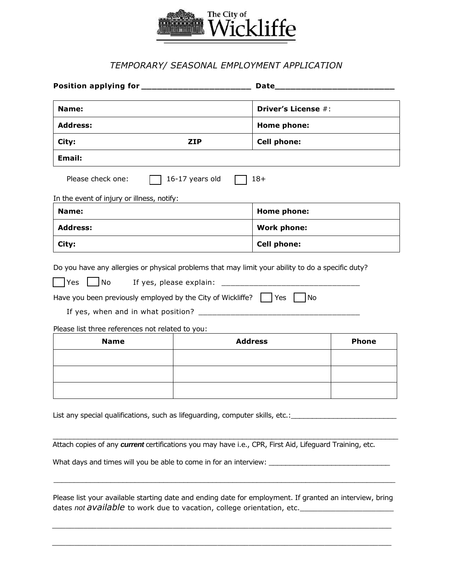

## *TEMPORARY/ SEASONAL EMPLOYMENT APPLICATION*

| Name:<br><b>Address:</b>                                                                                |                 | Driver's License #:<br>Home phone: |              |       |
|---------------------------------------------------------------------------------------------------------|-----------------|------------------------------------|--------------|-------|
|                                                                                                         |                 |                                    |              | City: |
| Email:                                                                                                  |                 |                                    |              |       |
| Please check one:                                                                                       | 16-17 years old | $18+$                              |              |       |
| In the event of injury or illness, notify:                                                              |                 |                                    |              |       |
| Name:                                                                                                   |                 | Home phone:                        |              |       |
| <b>Address:</b>                                                                                         |                 | <b>Work phone:</b>                 |              |       |
| City:                                                                                                   |                 | <b>Cell phone:</b>                 |              |       |
|                                                                                                         |                 |                                    |              |       |
| Please list three references not related to you:                                                        |                 |                                    |              |       |
| <b>Name</b>                                                                                             |                 | <b>Address</b>                     | <b>Phone</b> |       |
|                                                                                                         |                 |                                    |              |       |
|                                                                                                         |                 |                                    |              |       |
| List any special qualifications, such as lifeguarding, computer skills, etc.:______________________     |                 |                                    |              |       |
| Attach copies of any current certifications you may have i.e., CPR, First Aid, Lifeguard Training, etc. |                 |                                    |              |       |

 Please list your available starting date and ending date for employment. If granted an interview, bring dates *not available* to work due to vacation, college orientation, etc.

 $\mathcal{L}_\text{max} = \frac{1}{2} \sum_{i=1}^{n} \frac{1}{2} \sum_{i=1}^{n} \frac{1}{2} \sum_{i=1}^{n} \frac{1}{2} \sum_{i=1}^{n} \frac{1}{2} \sum_{i=1}^{n} \frac{1}{2} \sum_{i=1}^{n} \frac{1}{2} \sum_{i=1}^{n} \frac{1}{2} \sum_{i=1}^{n} \frac{1}{2} \sum_{i=1}^{n} \frac{1}{2} \sum_{i=1}^{n} \frac{1}{2} \sum_{i=1}^{n} \frac{1}{2} \sum_{i=1}^{n} \frac{1$ 

\_\_\_\_\_\_\_\_\_\_\_\_\_\_\_\_\_\_\_\_\_\_\_\_\_\_\_\_\_\_\_\_\_\_\_\_\_\_\_\_\_\_\_\_\_\_\_\_\_\_\_\_\_\_\_\_\_\_\_\_\_\_\_\_\_\_\_\_\_\_\_\_\_\_\_\_